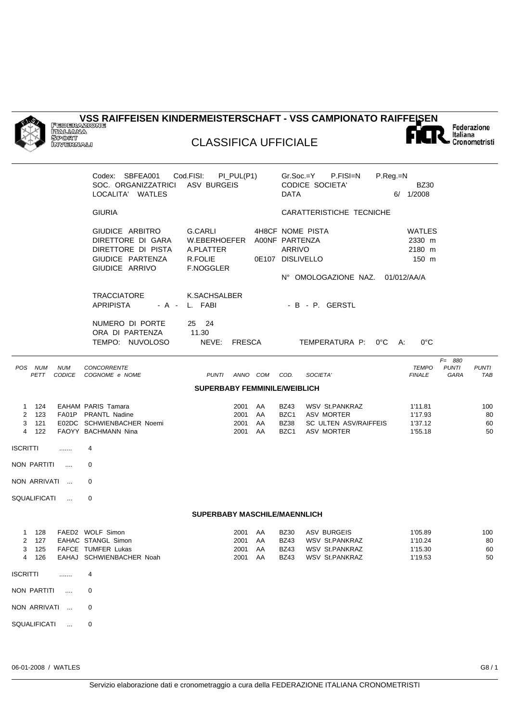

**VSS RAIFFEISEN KINDERMEISTERSCHAFT - VSS CAMPIONATO RAIFFEISEN**



## CLASSIFICA UFFICIALE

|                                  |                      | Codex: SBFEA001<br>SOC. ORGANIZZATRICI<br>LOCALITA' WATLES                                       | Cod.FISI:<br>ASV BURGEIS                                                    | $PI_PUL(P1)$                          |                  | <b>DATA</b>                                | $Gr.Soc.=Y$ P.FISI=N<br><b>CODICE SOCIETA'</b>                                    | P.Reg.=N | <b>BZ30</b><br>6/ 1/2008                 |                                   |                       |
|----------------------------------|----------------------|--------------------------------------------------------------------------------------------------|-----------------------------------------------------------------------------|---------------------------------------|------------------|--------------------------------------------|-----------------------------------------------------------------------------------|----------|------------------------------------------|-----------------------------------|-----------------------|
|                                  |                      | <b>GIURIA</b>                                                                                    |                                                                             |                                       |                  |                                            | CARATTERISTICHE TECNICHE                                                          |          |                                          |                                   |                       |
|                                  |                      | GIUDICE ARBITRO<br>DIRETTORE DI GARA<br>DIRETTORE DI PISTA<br>GIUDICE PARTENZA<br>GIUDICE ARRIVO | G.CARLI<br>W.EBERHOEFER A00NF PARTENZA<br>A.PLATTER<br>R.FOLIE<br>F.NOGGLER |                                       | 0E107 DISLIVELLO | ARRIVO                                     | 4H8CF NOME PISTA<br>N° OMOLOGAZIONE NAZ. 01/012/AA/A                              |          | WATLES<br>2330 m<br>2180 m<br>150 m      |                                   |                       |
|                                  |                      | <b>TRACCIATORE</b><br><b>APRIPISTA</b>                                                           | K.SACHSALBER<br>- A - L. FABI                                               |                                       |                  |                                            | - B - P. GERSTL                                                                   |          |                                          |                                   |                       |
|                                  |                      | NUMERO DI PORTE<br>ORA DI PARTENZA<br>TEMPO: NUVOLOSO                                            | 25 24<br>11.30<br>NEVE: FRESCA                                              |                                       |                  |                                            | TEMPERATURA P: 0°C                                                                | A:       | $0^{\circ}$ C                            |                                   |                       |
| POS NUM<br>PETT                  | <b>NUM</b><br>CODICE | <b>CONCORRENTE</b><br>COGNOME e NOME                                                             | <b>PUNTI</b>                                                                | ANNO COM                              |                  | COD.                                       | SOCIETA'                                                                          |          | <b>TEMPO</b><br><b>FINALE</b>            | $F = 880$<br><b>PUNTI</b><br>GARA | <b>PUNTI</b><br>TAB   |
|                                  |                      |                                                                                                  | <b>SUPERBABY FEMMINILE/WEIBLICH</b>                                         |                                       |                  |                                            |                                                                                   |          |                                          |                                   |                       |
| 1 124<br>2 123<br>3 121<br>4 122 |                      | EAHAM PARIS Tamara<br>FA01P PRANTL Nadine<br>E02DC SCHWIENBACHER Noemi<br>FAOYY BACHMANN Nina    |                                                                             | 2001 AA<br>2001 AA<br>2001<br>2001    | AA<br>AA         | <b>BZ43</b><br>BZC1<br><b>BZ38</b><br>BZC1 | <b>WSV St.PANKRAZ</b><br>ASV MORTER<br>SC ULTEN ASV/RAIFFEIS<br><b>ASV MORTER</b> |          | 1'11.81<br>1'17.93<br>1'37.12<br>1'55.18 |                                   | 100<br>80<br>60<br>50 |
| ISCRITTI                         | .                    | 4                                                                                                |                                                                             |                                       |                  |                                            |                                                                                   |          |                                          |                                   |                       |
| NON PARTITI                      | $\sim$               | $\Omega$                                                                                         |                                                                             |                                       |                  |                                            |                                                                                   |          |                                          |                                   |                       |
| NON ARRIVATI                     |                      | 0                                                                                                |                                                                             |                                       |                  |                                            |                                                                                   |          |                                          |                                   |                       |
| SQUALIFICATI                     | $\sim$               | 0                                                                                                |                                                                             |                                       |                  |                                            |                                                                                   |          |                                          |                                   |                       |
|                                  |                      |                                                                                                  | SUPERBABY MASCHILE/MAENNLICH                                                |                                       |                  |                                            |                                                                                   |          |                                          |                                   |                       |
| 1 128<br>2 127<br>4 126          |                      | FAED2 WOLF Simon<br>EAHAC STANGL Simon<br>3 125 FAFCE TUMFER Lukas<br>EAHAJ SCHWIENBACHER Noah   |                                                                             | 2001<br>2001 AA<br>2001 AA<br>2001 AA | AA               | <b>BZ30</b><br><b>BZ43</b><br><b>BZ43</b>  | ASV BURGEIS<br><b>WSV St.PANKRAZ</b><br>BZ43 WSV St.PANKRAZ<br>WSV St.PANKRAZ     |          | 1'05.89<br>1'10.24<br>1'15.30<br>1'19.53 |                                   | 100<br>80<br>60<br>50 |
| ISCRITTI                         | $\ldots$             | 4                                                                                                |                                                                             |                                       |                  |                                            |                                                                                   |          |                                          |                                   |                       |
| NON PARTITI                      |                      | 0                                                                                                |                                                                             |                                       |                  |                                            |                                                                                   |          |                                          |                                   |                       |
| NON ARRIVATI                     |                      | 0                                                                                                |                                                                             |                                       |                  |                                            |                                                                                   |          |                                          |                                   |                       |
| SQUALIFICATI                     |                      | 0                                                                                                |                                                                             |                                       |                  |                                            |                                                                                   |          |                                          |                                   |                       |
|                                  |                      |                                                                                                  |                                                                             |                                       |                  |                                            |                                                                                   |          |                                          |                                   |                       |

06-01-2008 / WATLES G8 / 1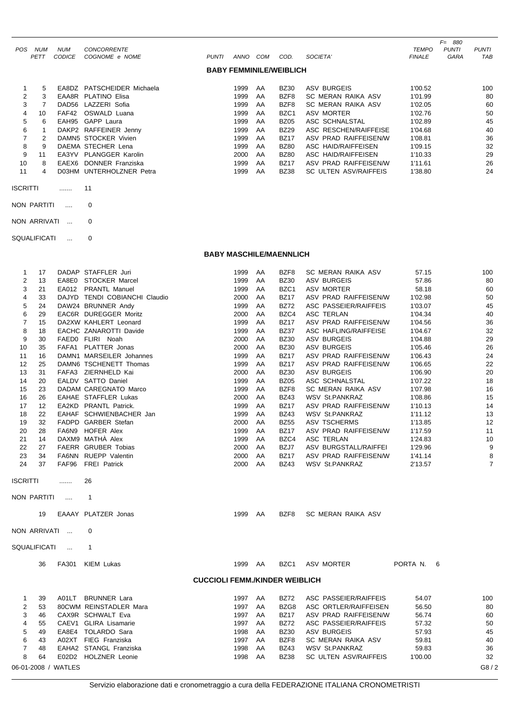|            |            |               |                            |              |      |     |                                |                       |               | $F = 880$    |              |
|------------|------------|---------------|----------------------------|--------------|------|-----|--------------------------------|-----------------------|---------------|--------------|--------------|
| <b>POS</b> | <b>NUM</b> | NUM           | <b>CONCORRENTE</b>         |              |      |     |                                |                       | <b>TEMPO</b>  | <b>PUNTI</b> | <b>PUNTI</b> |
|            | PETT       | <b>CODICE</b> | COGNOME e NOME             | <b>PUNTI</b> | ANNO | COM | COD.                           | SOCIETA'              | <b>FINALE</b> | <b>GARA</b>  | TAB          |
|            |            |               |                            |              |      |     | <b>BABY FEMMINILE/WEIBLICH</b> |                       |               |              |              |
|            | 5          |               | EA8DZ PATSCHEIDER Michaela |              | 1999 | AA  | <b>BZ30</b>                    | ASV BURGEIS           | 1'00.52       |              | 100          |
| 2          | 3          |               | EAA8R PLATINO Elisa        |              | 1999 | AA  | BZF8                           | SC MERAN RAIKA ASV    | 1'01.99       |              | 80           |
| 3          |            |               | DAD56 LAZZERI Sofia        |              | 1999 | AA  | BZF8                           | SC MERAN RAIKA ASV    | 1'02.05       |              | 60           |
| 4          | 10         | FAF42         | OSWALD Luana               |              | 1999 | AA  | BZC <sub>1</sub>               | ASV MORTER            | 1'02.76       |              | 50           |
| 5          | 6          | EAH95         | GAPP Laura                 |              | 1999 | AA  | <b>BZ05</b>                    | ASC SCHNALSTAL        | 1'02.89       |              | 45           |
| 6          |            |               | DAKP2 RAFFEINER Jenny      |              | 1999 | AA  | <b>BZ29</b>                    | ASC RESCHEN/RAIFFEISE | 1'04.68       |              | 40           |
|            | 2          |               | DAMN5 STOCKER Vivien       |              | 1999 | AA  | <b>BZ17</b>                    | ASV PRAD RAIFFEISEN/W | 1'08.81       |              | 36           |
| 8          | 9          |               | DAEMA STECHER Lena         |              | 1999 | AA  | <b>BZ80</b>                    | ASC HAID/RAIFFEISEN   | 1'09.15       |              | 32           |
| 9          | 11         |               | EA3YV PLANGGER Karolin     |              | 2000 | AA  | <b>BZ80</b>                    | ASC HAID/RAIFFEISEN   | 1'10.33       |              | 29           |
| 10         | 8          |               | EAEX6 DONNER Franziska     |              | 1999 | AA  | <b>BZ17</b>                    | ASV PRAD RAIFFEISEN/W | 1'11.61       |              | 26           |
| 11         | 4          |               | D03HM UNTERHOLZNER Petra   |              | 1999 | AA  | <b>BZ38</b>                    | SC ULTEN ASV/RAIFFEIS | 1'38.80       |              | 24           |

- ISCRITTI ....... 11
- NON PARTITI .... 0

NON ARRIVATI ... 0

SQUALIFICATI ... 0

**BABY MASCHILE/MAENNLICH**

| $\mathbf{1}$        | 17 |                     | DADAP STAFFLER Juri           | 1999                                  | AA | BZF8             | SC MERAN RAIKA ASV    | 57.15          | 100            |
|---------------------|----|---------------------|-------------------------------|---------------------------------------|----|------------------|-----------------------|----------------|----------------|
| $\overline{2}$      | 13 |                     | EA8E0 STOCKER Marcel          | 1999                                  | AA | <b>BZ30</b>      | <b>ASV BURGEIS</b>    | 57.86          | 80             |
| 3                   | 21 |                     | EA012 PRANTL Manuel           | 1999                                  | AA | BZC <sub>1</sub> | ASV MORTER            | 58.18          | 60             |
| $\overline{4}$      | 33 |                     | DAJYD TENDI COBIANCHI Claudio | 2000                                  | AA | <b>BZ17</b>      | ASV PRAD RAIFFEISEN/W | 1'02.98        | 50             |
| 5                   | 24 |                     | DAW24 BRUNNER Andy            | 1999                                  | AA | <b>BZ72</b>      | ASC PASSEIER/RAIFFEIS | 1'03.07        | 45             |
| 6                   | 29 |                     | EAC6R DUREGGER Moritz         | 2000                                  | AA | BZC4             | <b>ASC TERLAN</b>     | 1'04.34        | 40             |
| $\overline{7}$      | 15 |                     | DA2XW KAHLERT Leonard         | 1999                                  | AA | <b>BZ17</b>      | ASV PRAD RAIFFEISEN/W | 1'04.56        | 36             |
| 8                   | 18 |                     | EACHC ZANAROTTI Davide        | 1999                                  | AA | <b>BZ37</b>      | ASC HAFLING/RAIFFEISE | 1'04.67        | 32             |
| 9                   | 30 |                     | FAED0 FLIRI Noah              | 2000                                  | AA | <b>BZ30</b>      | <b>ASV BURGEIS</b>    | 1'04.88        | 29             |
| 10                  | 35 |                     | FAFA1 PLATTER Jonas           | 2000                                  | AA | <b>BZ30</b>      | <b>ASV BURGEIS</b>    | 1'05.46        | 26             |
| 11                  | 16 |                     | DAMN1 MARSEILER Johannes      | 1999                                  | AA | <b>BZ17</b>      | ASV PRAD RAIFFEISEN/W | 1'06.43        | 24             |
| 12                  | 25 |                     | DAMN6 TSCHENETT Thomas        | 1999                                  | AA | <b>BZ17</b>      | ASV PRAD RAIFFEISEN/W | 1'06.65        | 22             |
| 13                  | 31 |                     | FAFA3 ZIERNHELD Kai           | 2000                                  | AA | <b>BZ30</b>      | <b>ASV BURGEIS</b>    | 1'06.90        | 20             |
| 14                  | 20 |                     | EALDV SATTO Daniel            | 1999                                  | AA | <b>BZ05</b>      | ASC SCHNALSTAL        | 1'07.22        | 18             |
| 15                  | 23 |                     | DADAM CAREGNATO Marco         | 1999                                  | AA | BZF8             | SC MERAN RAIKA ASV    | 1'07.98        | 16             |
| 16                  | 26 |                     | EAHAE STAFFLER Lukas          | 2000                                  | AA | <b>BZ43</b>      | <b>WSV St.PANKRAZ</b> | 1'08.86        | 15             |
| 17                  | 12 |                     | EA2KD PRANTL Patrick.         | 1999                                  | AA | <b>BZ17</b>      | ASV PRAD RAIFFEISEN/W | 1'10.13        | 14             |
| 18                  | 22 |                     | EAHAF SCHWIENBACHER Jan       | 1999                                  | AA | <b>BZ43</b>      | WSV St.PANKRAZ        | 1'11.12        | 13             |
| 19                  | 32 |                     | FADPD GARBER Stefan           | 2000                                  | AA | <b>BZ55</b>      | <b>ASV TSCHERMS</b>   | 1'13.85        | 12             |
| 20                  | 28 |                     | FA6N9 HOFER Alex              | 1999                                  | AA | <b>BZ17</b>      | ASV PRAD RAIFFEISEN/W | 1'17.59        | 11             |
| 21                  | 14 |                     | DAXM9 MATHA Alex              | 1999                                  | AA | BZC4             | ASC TERLAN            | 1'24.83        | 10             |
| 22                  | 27 |                     | FAERR GRUBER Tobias           | 2000                                  | AA | BZJ7             | ASV BURGSTALL/RAIFFEI | 1'29.96        | 9              |
| 23                  | 34 |                     | FA6NN RUEPP Valentin          | 2000                                  | AA | <b>BZ17</b>      | ASV PRAD RAIFFEISEN/W | 1'41.14        | 8              |
| 24                  | 37 |                     | FAF96 FREI Patrick            | 2000                                  | AA | <b>BZ43</b>      | <b>WSV St.PANKRAZ</b> | 2'13.57        | $\overline{7}$ |
| <b>ISCRITTI</b>     |    | .                   | 26                            |                                       |    |                  |                       |                |                |
| NON PARTITI         |    | $\cdots$            | $\mathbf{1}$                  |                                       |    |                  |                       |                |                |
|                     | 19 |                     | EAAAY PLATZER Jonas           | 1999                                  | AA | BZF8             | SC MERAN RAIKA ASV    |                |                |
|                     |    | NON ARRIVATI        | $\Omega$                      |                                       |    |                  |                       |                |                |
| <b>SQUALIFICATI</b> |    | $\ddotsc$           | 1                             |                                       |    |                  |                       |                |                |
|                     | 36 | FA301               | <b>KIEM Lukas</b>             | 1999 AA                               |    | BZC1             | <b>ASV MORTER</b>     | PORTA N.<br>-6 |                |
|                     |    |                     |                               | <b>CUCCIOLI FEMM./KINDER WEIBLICH</b> |    |                  |                       |                |                |
| 1                   | 39 |                     | A01LT BRUNNER Lara            | 1997 AA                               |    | <b>BZ72</b>      | ASC PASSEIER/RAIFFEIS | 54.07          | 100            |
| $\overline{c}$      | 53 |                     | 80CWM REINSTADLER Mara        | 1997                                  | AA | BZG8             | ASC ORTLER/RAIFFEISEN | 56.50          | 80             |
| 3                   | 46 |                     | CAX9R SCHWALT Eva             | 1997                                  | AA | <b>BZ17</b>      | ASV PRAD RAIFFEISEN/W | 56.74          | 60             |
| 4                   | 55 |                     | CAEV1 GLIRA Lisamarie         | 1997                                  | AA | <b>BZ72</b>      | ASC PASSEIER/RAIFFEIS | 57.32          | 50             |
| 5                   | 49 |                     | EA8E4 TOLARDO Sara            | 1998                                  | AA | <b>BZ30</b>      | <b>ASV BURGEIS</b>    | 57.93          | 45             |
| 6                   | 43 |                     | A02XT FIEG Franziska          | 1997                                  | AA | BZF8             | SC MERAN RAIKA ASV    | 59.81          | 40             |
| $\overline{7}$      | 48 |                     | EAHA2 STANGL Franziska        | 1998                                  | AA | <b>BZ43</b>      | <b>WSV St.PANKRAZ</b> | 59.83          | 36             |
| 8                   | 64 |                     | E02D2 HOLZNER Leonie          | 1998                                  | AA | <b>BZ38</b>      | SC ULTEN ASV/RAIFFEIS | 1'00.00        | 32             |
|                     |    | 06-01-2008 / WATLES |                               |                                       |    |                  |                       |                | G8/2           |
|                     |    |                     |                               |                                       |    |                  |                       |                |                |

Servizio elaborazione dati e cronometraggio a cura della FEDERAZIONE ITALIANA CRONOMETRISTI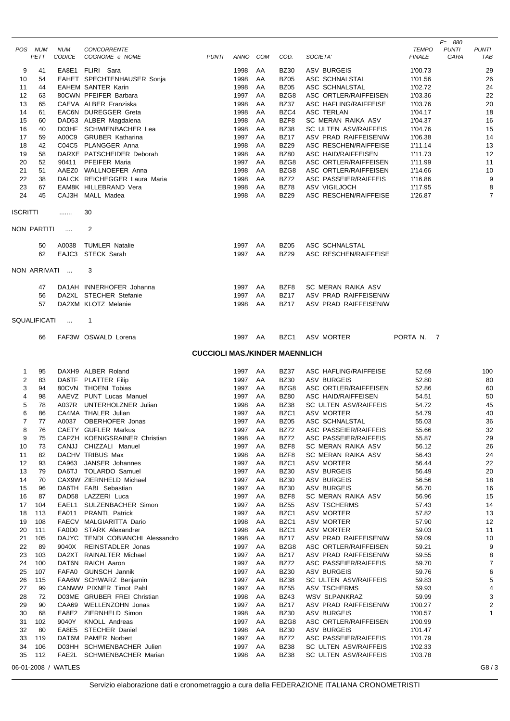|                 |              |                     |                                                  |                                       |              |          |                            |                                             |                    | $F = 880$    |                     |
|-----------------|--------------|---------------------|--------------------------------------------------|---------------------------------------|--------------|----------|----------------------------|---------------------------------------------|--------------------|--------------|---------------------|
|                 | POS NUM      | <b>NUM</b>          | <b>CONCORRENTE</b>                               |                                       |              |          |                            |                                             | <b>TEMPO</b>       | <b>PUNTI</b> | <b>PUNTI</b>        |
|                 | PETT         | <b>CODICE</b>       | COGNOME e NOME                                   | <b>PUNTI</b>                          | ANNO COM     |          | COD.                       | SOCIETA'                                    | <b>FINALE</b>      | GARA         | TAB                 |
| 9               | 41           |                     | EA8E1 FLIRI Sara                                 |                                       | 1998         | AA       | <b>BZ30</b>                | <b>ASV BURGEIS</b>                          | 1'00.73            |              | 29                  |
| 10              | 54           |                     | EAHET SPECHTENHAUSER Sonja                       |                                       | 1998         | AA       | <b>BZ05</b>                | ASC SCHNALSTAL                              | 1'01.56            |              | 26                  |
| 11              | 44           |                     | <b>EAHEM SANTER Karin</b>                        |                                       | 1998         | AA       | <b>BZ05</b>                | ASC SCHNALSTAL                              | 1'02.72            |              | 24                  |
| 12              | 63           |                     | 80CWN PFEIFER Barbara                            |                                       | 1997         | AA       | BZG8                       | ASC ORTLER/RAIFFEISEN                       | 1'03.36            |              | 22                  |
| 13              | 65           |                     | CAEVA ALBER Franziska                            |                                       | 1998         | AA       | <b>BZ37</b>                | <b>ASC HAFLING/RAIFFEISE</b>                | 1'03.76            |              | 20                  |
| 14<br>15        | 61<br>60     |                     | EAC6N DUREGGER Greta<br>DAD53 ALBER Magdalena    |                                       | 1998<br>1998 | AA<br>AA | BZC4<br>BZF8               | <b>ASC TERLAN</b><br>SC MERAN RAIKA ASV     | 1'04.17<br>1'04.37 |              | 18<br>16            |
| 16              | 40           |                     | D03HF SCHWIENBACHER Lea                          |                                       | 1998         | AA       | <b>BZ38</b>                | <b>SC ULTEN ASV/RAIFFEIS</b>                | 1'04.76            |              | 15                  |
| 17              | 59           | A00C9               | <b>GRUBER Katharina</b>                          |                                       | 1997         | AA       | <b>BZ17</b>                | ASV PRAD RAIFFEISEN/W                       | 1'06.38            |              | 14                  |
| 18              | 42           |                     | C04C5 PLANGGER Anna                              |                                       | 1998         | AA       | <b>BZ29</b>                | ASC RESCHEN/RAIFFEISE                       | 1'11.14            |              | 13                  |
| 19              | 58           |                     | DARXE PATSCHEIDER Deborah                        |                                       | 1998         | AA       | <b>BZ80</b>                | <b>ASC HAID/RAIFFEISEN</b>                  | 1'11.73            |              | 12                  |
| 20              | 52           | 90411               | PFEIFER Maria                                    |                                       | 1997         | AA       | BZG8                       | ASC ORTLER/RAIFFEISEN                       | 1'11.99            |              | 11                  |
| 21              | 51           |                     | AAEZ0 WALLNOEFER Anna                            |                                       | 1998         | AA       | BZG8                       | ASC ORTLER/RAIFFEISEN                       | 1'14.66            |              | 10                  |
| 22              | 38           |                     | DALCK REICHEGGER Laura Maria                     |                                       | 1998         | AA       | <b>BZ72</b>                | ASC PASSEIER/RAIFFEIS                       | 1'16.86            |              | 9                   |
| 23<br>24        | 67<br>45     |                     | EAM8K HILLEBRAND Vera<br>CAJ3H MALL Madea        |                                       | 1998<br>1998 | AA<br>AA | <b>BZ78</b><br><b>BZ29</b> | ASV VIGILJOCH<br>ASC RESCHEN/RAIFFEISE      | 1'17.95<br>1'26.87 |              | 8<br>$\overline{7}$ |
|                 |              |                     |                                                  |                                       |              |          |                            |                                             |                    |              |                     |
| <b>ISCRITTI</b> |              | .                   | 30                                               |                                       |              |          |                            |                                             |                    |              |                     |
|                 |              |                     |                                                  |                                       |              |          |                            |                                             |                    |              |                     |
|                 | NON PARTITI  | $\cdots$            | 2                                                |                                       |              |          |                            |                                             |                    |              |                     |
|                 |              |                     |                                                  |                                       |              |          |                            |                                             |                    |              |                     |
|                 | 50           | A0038               | <b>TUMLER Natalie</b>                            |                                       | 1997         | AA       | <b>BZ05</b>                | ASC SCHNALSTAL                              |                    |              |                     |
|                 | 62           |                     | EAJC3 STECK Sarah                                |                                       | 1997         | AA       | <b>BZ29</b>                | <b>ASC RESCHEN/RAIFFEISE</b>                |                    |              |                     |
|                 |              | NON ARRIVATI        | 3                                                |                                       |              |          |                            |                                             |                    |              |                     |
|                 |              |                     |                                                  |                                       |              |          |                            |                                             |                    |              |                     |
|                 | 47           |                     | DA1AH INNERHOFER Johanna                         |                                       | 1997         | AA       | BZF8                       | SC MERAN RAIKA ASV                          |                    |              |                     |
|                 | 56           |                     | DA2XL STECHER Stefanie                           |                                       | 1997         | AA       | <b>BZ17</b>                | ASV PRAD RAIFFEISEN/W                       |                    |              |                     |
|                 | 57           |                     | DA2XM KLOTZ Melanie                              |                                       | 1998         | AA       | <b>BZ17</b>                | ASV PRAD RAIFFEISEN/W                       |                    |              |                     |
|                 |              |                     |                                                  |                                       |              |          |                            |                                             |                    |              |                     |
|                 | SQUALIFICATI | $\ddots$            | 1                                                |                                       |              |          |                            |                                             |                    |              |                     |
|                 | 66           |                     | FAF3W OSWALD Lorena                              |                                       | 1997 AA      |          | BZC1                       | <b>ASV MORTER</b>                           | PORTA N. 7         |              |                     |
|                 |              |                     |                                                  |                                       |              |          |                            |                                             |                    |              |                     |
|                 |              |                     |                                                  | <b>CUCCIOLI MAS./KINDER MAENNLICH</b> |              |          |                            |                                             |                    |              |                     |
|                 |              |                     |                                                  |                                       |              |          |                            |                                             |                    |              |                     |
| 1               | 95           |                     | DAXH9 ALBER Roland                               |                                       | 1997         | AA       | <b>BZ37</b>                | <b>ASC HAFLING/RAIFFEISE</b>                | 52.69              |              | 100                 |
| 2               | 83           |                     | DA6TF PLATTER Filip                              |                                       | 1997         | AA       | <b>BZ30</b>                | <b>ASV BURGEIS</b>                          | 52.80              |              | 80                  |
| 3               | 94           |                     | 80CVN THOENI Tobias                              |                                       | 1997         | AA       | BZG8                       | ASC ORTLER/RAIFFEISEN                       | 52.86              |              | 60                  |
| 4               | 98           |                     | AAEVZ PUNT Lucas Manuel                          |                                       | 1997         | AA       | <b>BZ80</b>                | <b>ASC HAID/RAIFFEISEN</b>                  | 54.51              |              | 50                  |
| 5<br>6          | 78<br>86     |                     | A037R UNTERHOLZNER Julian<br>CA4MA THALER Julian |                                       | 1998<br>1997 | AA<br>AA | <b>BZ38</b><br>BZC1        | SC ULTEN ASV/RAIFFEIS<br><b>ASV MORTER</b>  | 54.72<br>54.79     |              | 45<br>40            |
| 7               | 77           | A0037               | OBERHOFER Jonas                                  |                                       | 1997         | AA       | <b>BZ05</b>                | ASC SCHNALSTAL                              | 55.03              |              | 36                  |
| 8               | 76           |                     | CAETY GUFLER Markus                              |                                       | 1997         | AA       | <b>BZ72</b>                | ASC PASSEIER/RAIFFEIS                       | 55.66              |              | 32                  |
| 9               | 75           |                     | CAPZH KOENIGSRAINER Christian                    |                                       | 1998         | AA       | <b>BZ72</b>                | <b>ASC PASSEIER/RAIFFEIS</b>                | 55.87              |              | 29                  |
| 10              | 73           |                     | CANJJ CHIZZALI Manuel                            |                                       | 1997         | AA       | BZF8                       | SC MERAN RAIKA ASV                          | 56.12              |              | 26                  |
| 11              | 82           |                     | DACHV TRIBUS Max                                 |                                       | 1998         | AA       | BZF8                       | SC MERAN RAIKA ASV                          | 56.43              |              | 24                  |
| 12              | 93           |                     | CA963 JANSER Johannes                            |                                       | 1997         | AA       | BZC1                       | <b>ASV MORTER</b>                           | 56.44              |              | 22                  |
| 13              | 79           |                     | DA6TJ TOLARDO Samuel                             |                                       | 1997         | AA       | <b>BZ30</b>                | <b>ASV BURGEIS</b>                          | 56.49              |              | 20                  |
| 14              | 70           |                     | CAX9W ZIERNHELD Michael                          |                                       | 1997         | AA       | <b>BZ30</b>                | <b>ASV BURGEIS</b>                          | 56.56              |              | 18                  |
| 15              | 96           |                     | DA6TH FABI Sebastian                             |                                       | 1997         | AA       | <b>BZ30</b>                | <b>ASV BURGEIS</b>                          | 56.70              |              | 16                  |
| 16<br>17        | 87<br>104    | EAEL1               | DAD58 LAZZERI Luca<br>SULZENBACHER Simon         |                                       | 1997<br>1997 | AA<br>AA | BZF8<br><b>BZ55</b>        | SC MERAN RAIKA ASV<br><b>ASV TSCHERMS</b>   | 56.96<br>57.43     |              | 15<br>14            |
| 18              | 113          | EA011               | <b>PRANTL Patrick</b>                            |                                       | 1997         | AA       | BZC1                       | <b>ASV MORTER</b>                           | 57.82              |              | 13                  |
| 19              | 108          |                     | FAECV MALGIARITTA Dario                          |                                       | 1998         | AA       | BZC1                       | <b>ASV MORTER</b>                           | 57.90              |              | 12                  |
| 20              | 111          |                     | FA0D0 STARK Alexandrer                           |                                       | 1998         | AA       | BZC1                       | ASV MORTER                                  | 59.03              |              | 11                  |
| 21              | 105          |                     | DAJYC TENDI COBIANCHI Alessandro                 |                                       | 1998         | AA       | <b>BZ17</b>                | ASV PRAD RAIFFEISEN/W                       | 59.09              |              | 10                  |
| 22              | 89           | 9040X               | REINSTADLER Jonas                                |                                       | 1997         | AA       | BZG8                       | ASC ORTLER/RAIFFEISEN                       | 59.21              |              | 9                   |
| 23              | 103          |                     | DA2XT RAINALTER Michael                          |                                       | 1997         | AA       | <b>BZ17</b>                | ASV PRAD RAIFFEISEN/W                       | 59.55              |              | 8                   |
| 24              | 100          |                     | DAT6N RAICH Aaron                                |                                       | 1997         | AA       | BZ72                       | ASC PASSEIER/RAIFFEIS                       | 59.70              |              | $\overline{7}$      |
| 25              | 107          |                     | FAFA0 GUNSCH Jannik                              |                                       | 1997         | AA       | <b>BZ30</b>                | <b>ASV BURGEIS</b>                          | 59.76              |              | 6                   |
| 26              | 115          |                     | FAA6W SCHWARZ Benjamin                           |                                       | 1997         | AA       | <b>BZ38</b>                | SC ULTEN ASV/RAIFFEIS                       | 59.83              |              | 5                   |
| 27              | 99           |                     | CANWW PIXNER Timot Pahl                          |                                       | 1997         | AA       | <b>BZ55</b>                | <b>ASV TSCHERMS</b>                         | 59.93              |              | 4                   |
| 28              | 72           |                     | D03ME GRUBER FREI Christian                      |                                       | 1998         | AA       | <b>BZ43</b>                | WSV St.PANKRAZ                              | 59.99              |              | 3<br>2              |
| 29<br>30        | 90<br>68     |                     | CAA69 WELLENZOHN Jonas<br>EA8E2 ZIERNHELD Simon  |                                       | 1997<br>1998 | AA<br>AA | <b>BZ17</b><br><b>BZ30</b> | ASV PRAD RAIFFEISEN/W<br><b>ASV BURGEIS</b> | 1'00.27<br>1'00.57 |              | $\mathbf{1}$        |
| 31              | 102          | 9040Y               | <b>KNOLL Andreas</b>                             |                                       | 1997         | AA       | BZG8                       | ASC ORTLER/RAIFFEISEN                       | 1'00.99            |              |                     |
| 32              | 80           |                     | EA8E5 STECHER Daniel                             |                                       | 1998         | AA       | <b>BZ30</b>                | <b>ASV BURGEIS</b>                          | 1'01.47            |              |                     |
| 33              | 119          |                     | DAT6M PAMER Norbert                              |                                       | 1997         | AA       | <b>BZ72</b>                | ASC PASSEIER/RAIFFEIS                       | 1'01.79            |              |                     |
| 34              | 106          |                     | D03HH SCHWIENBACHER Julien                       |                                       | 1997         | AA       | <b>BZ38</b>                | SC ULTEN ASV/RAIFFEIS                       | 1'02.33            |              |                     |
| 35              | 112          |                     | FAE2L SCHWIENBACHER Marian                       |                                       | 1998         | AA       | <b>BZ38</b>                | SC ULTEN ASV/RAIFFEIS                       | 1'03.78            |              |                     |
|                 |              | 06-01-2008 / WATLES |                                                  |                                       |              |          |                            |                                             |                    |              | G8/3                |